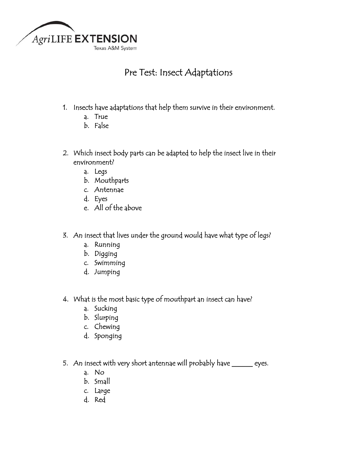

## Pre Test: Insect Adaptations

- 1. Insects have adaptations that help them survive in their environment.
	- a. True
	- b. False
- 2. Which insect body parts can be adapted to help the insect live in their environment?
	- a. Legs
	- b. Mouthparts
	- c. Antennae
	- d. Eyes
	- e. All of the above
- 3. An insect that lives under the ground would have what type of legs?
	- a. Running
	- b. Digging
	- c. Swimming
	- d. Jumping
- 4. What is the most basic type of mouthpart an insect can have?
	- a. Sucking
	- b. Slurping
	- c. Chewing
	- d. Sponging
- 5. An insect with very short antennae will probably have \_\_\_\_\_\_ eyes.
	- a. No
	- b. Small
	- c. Large
	- d. Red